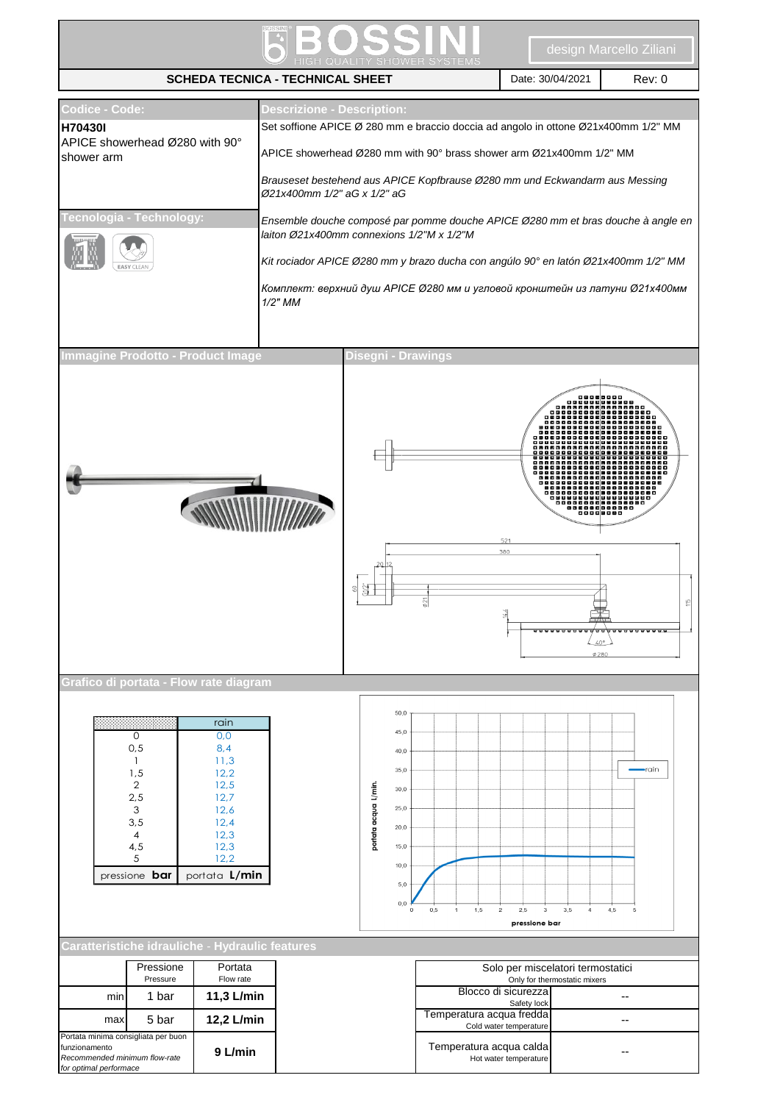| <b>SCHEDA TECNICA - TECHNICAL SHEET</b>                                                                                                                      |                                |                                                                                                                                                   |                                                                                                                          |                                                                                                                        |                                                                                                                                                                                                                                                                                                                                                                                                                                                                                                    | Date: 30/04/2021                                                                            | Rev: 0                                            |
|--------------------------------------------------------------------------------------------------------------------------------------------------------------|--------------------------------|---------------------------------------------------------------------------------------------------------------------------------------------------|--------------------------------------------------------------------------------------------------------------------------|------------------------------------------------------------------------------------------------------------------------|----------------------------------------------------------------------------------------------------------------------------------------------------------------------------------------------------------------------------------------------------------------------------------------------------------------------------------------------------------------------------------------------------------------------------------------------------------------------------------------------------|---------------------------------------------------------------------------------------------|---------------------------------------------------|
| Codice - Code:<br>H70430I<br>APICE showerhead Ø280 with 90°<br>shower arm<br><b>Fecnologia - Technology:</b>                                                 |                                |                                                                                                                                                   | <b>Descrizione - Description:</b><br>Ø21x400mm 1/2" aG x 1/2" aG<br>laiton Ø21x400mm connexions 1/2"M x 1/2"M<br>1/2" MM |                                                                                                                        | Set soffione APICE Ø 280 mm e braccio doccia ad angolo in ottone Ø21x400mm 1/2" MM<br>APICE showerhead Ø280 mm with 90° brass shower arm Ø21x400mm 1/2" MM<br>Brauseset bestehend aus APICE Kopfbrause Ø280 mm und Eckwandarm aus Messing<br>Ensemble douche composé par pomme douche APICE Ø280 mm et bras douche à angle en<br>Kit rociador APICE Ø280 mm y brazo ducha con angúlo 90° en latón Ø21x400mm 1/2" MM<br>Комплект: верхний душ APICE Ø280 мм и угловой кронштейн из латуни Ø21x400мм |                                                                                             |                                                   |
| Immagine Prodotto - Product Image<br>Grafico di portata - Flow rate diagram                                                                                  |                                |                                                                                                                                                   |                                                                                                                          | Disegni - Drawings<br>GUZ<br>의                                                                                         | 521<br>380                                                                                                                                                                                                                                                                                                                                                                                                                                                                                         | ,,,,,,,,,                                                                                   | <u>, 1988 - 1989 - 1</u><br>$40^{\circ}$<br>Ø 280 |
| 0<br>0,5<br>1<br>1,5<br>$\overline{2}$<br>2,5<br>3<br>3,5<br>4<br>4,5<br>5<br>pressione <b>bar</b><br>Caratteristiche idrauliche - Hydraulic features<br>min | Pressione<br>Pressure<br>1 bar | rain<br>0,0<br>8,4<br>11,3<br>12,2<br>12,5<br>12,7<br>12,6<br>12,4<br>12,3<br>12,3<br>12,2<br>portata L/min<br>Portata<br>Flow rate<br>11,3 L/min |                                                                                                                          | 50,0<br>45,0<br>40,0<br>35,0<br>portata acqua L/min.<br>30,0<br>25,0<br>20,0<br>15,0<br>10,0<br>5,0<br>0,0<br>$\Omega$ | 0,5<br>1,5<br>2,5<br>$\overline{\mathbf{c}}$<br>1<br>pressione bar<br>Blocco di sicurezza<br>Safety lock                                                                                                                                                                                                                                                                                                                                                                                           | 3,5<br>$_{\rm 3}$<br>4<br>Solo per miscelatori termostatici<br>Only for thermostatic mixers | $-$ rain<br>4,5<br>۰.                             |
| max<br>Portata minima consigliata per buon<br>funzionamento<br>Recommended minimum flow-rate<br>for optimal performace                                       | 5 bar                          | 12,2 L/min<br>9 L/min                                                                                                                             |                                                                                                                          |                                                                                                                        | Temperatura acqua fredda<br>Cold water temperature<br>Temperatura acqua calda<br>Hot water temperature                                                                                                                                                                                                                                                                                                                                                                                             |                                                                                             | $\overline{\phantom{a}}$                          |